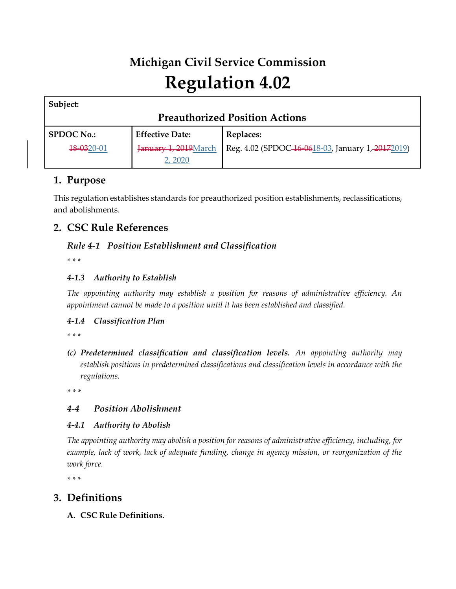# **Michigan Civil Service Commission Regulation 4.02**

| Subject:                              |                        |                                                   |  |  |
|---------------------------------------|------------------------|---------------------------------------------------|--|--|
| <b>Preauthorized Position Actions</b> |                        |                                                   |  |  |
| <b>SPDOC No.:</b>                     | <b>Effective Date:</b> | Replaces:                                         |  |  |
| 18-0320-01                            | January 1, 2019 March  | Reg. 4.02 (SPDOC-16-0618-03, January 1, 20172019) |  |  |
|                                       | 2. 2020                |                                                   |  |  |

# **1. Purpose**

This regulation establishes standards for preauthorized position establishments, reclassifications, and abolishments.

# **2. CSC Rule References**

## *Rule 4-1 Position Establishment and Classification*

*\* \* \**

## *4-1.3 Authority to Establish*

*The appointing authority may establish a position for reasons of administrative efficiency. An appointment cannot be made to a position until it has been established and classified.*

## *4-1.4 Classification Plan*

*\* \* \**

*(c) Predetermined classification and classification levels. An appointing authority may establish positions in predetermined classifications and classification levels in accordance with the regulations.*

*\* \* \**

## *4-4 Position Abolishment*

## *4-4.1 Authority to Abolish*

*The appointing authority may abolish a position for reasons of administrative efficiency, including, for example, lack of work, lack of adequate funding, change in agency mission, or reorganization of the work force.*

*\* \* \**

# **3. Definitions**

**A. CSC Rule Definitions.**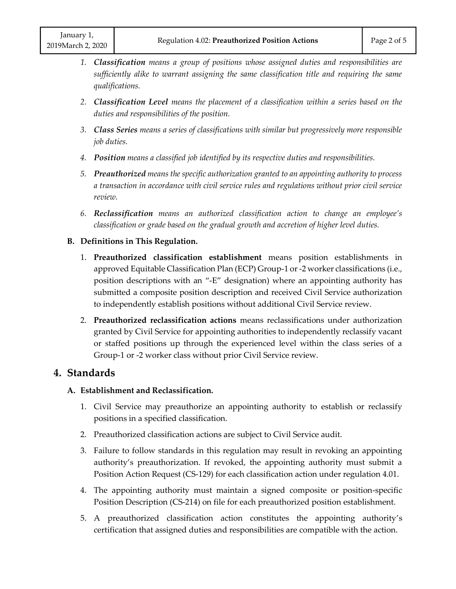- *1. Classification means a group of positions whose assigned duties and responsibilities are sufficiently alike to warrant assigning the same classification title and requiring the same qualifications.*
- *2. Classification Level means the placement of a classification within a series based on the duties and responsibilities of the position.*
- *3. Class Series means a series of classifications with similar but progressively more responsible job duties.*
- *4. Position means a classified job identified by its respective duties and responsibilities.*
- *5. Preauthorized means the specific authorization granted to an appointing authority to process a transaction in accordance with civil service rules and regulations without prior civil service review.*
- *6. Reclassification means an authorized classification action to change an employee's classification or grade based on the gradual growth and accretion of higher level duties.*

#### **B. Definitions in This Regulation.**

- 1. **Preauthorized classification establishment** means position establishments in approved Equitable Classification Plan (ECP) Group-1 or -2 worker classifications (i.e., position descriptions with an "-E" designation) where an appointing authority has submitted a composite position description and received Civil Service authorization to independently establish positions without additional Civil Service review.
- 2. **Preauthorized reclassification actions** means reclassifications under authorization granted by Civil Service for appointing authorities to independently reclassify vacant or staffed positions up through the experienced level within the class series of a Group-1 or -2 worker class without prior Civil Service review.

# **4. Standards**

#### **A. Establishment and Reclassification.**

- 1. Civil Service may preauthorize an appointing authority to establish or reclassify positions in a specified classification.
- 2. Preauthorized classification actions are subject to Civil Service audit.
- 3. Failure to follow standards in this regulation may result in revoking an appointing authority's preauthorization. If revoked, the appointing authority must submit a Position Action Request (CS-129) for each classification action under regulation 4.01.
- 4. The appointing authority must maintain a signed composite or position-specific Position Description (CS-214) on file for each preauthorized position establishment.
- 5. A preauthorized classification action constitutes the appointing authority's certification that assigned duties and responsibilities are compatible with the action.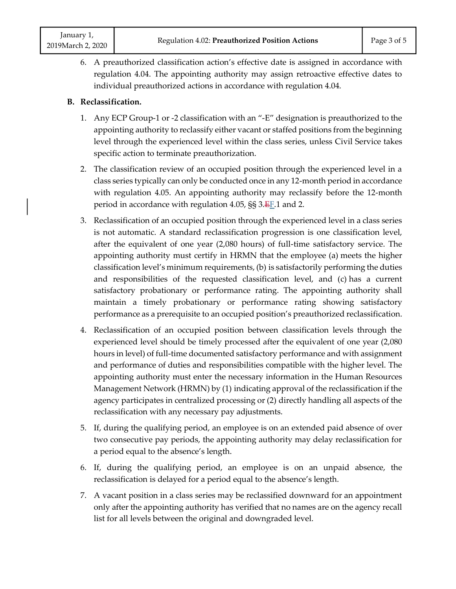6. A preauthorized classification action's effective date is assigned in accordance with regulation 4.04. The appointing authority may assign retroactive effective dates to individual preauthorized actions in accordance with regulation 4.04.

#### **B. Reclassification.**

- 1. Any ECP Group-1 or -2 classification with an "-E" designation is preauthorized to the appointing authority to reclassify either vacant or staffed positions from the beginning level through the experienced level within the class series, unless Civil Service takes specific action to terminate preauthorization.
- 2. The classification review of an occupied position through the experienced level in a class series typically can only be conducted once in any 12-month period in accordance with regulation 4.05. An appointing authority may reclassify before the 12-month period in accordance with regulation 4.05,  $\S$ § 3. $E$ F<sub>1</sub>.1 and 2.
- 3. Reclassification of an occupied position through the experienced level in a class series is not automatic. A standard reclassification progression is one classification level, after the equivalent of one year (2,080 hours) of full-time satisfactory service. The appointing authority must certify in HRMN that the employee (a) meets the higher classification level's minimum requirements, (b) is satisfactorily performing the duties and responsibilities of the requested classification level, and (c) has a current satisfactory probationary or performance rating. The appointing authority shall maintain a timely probationary or performance rating showing satisfactory performance as a prerequisite to an occupied position's preauthorized reclassification.
- 4. Reclassification of an occupied position between classification levels through the experienced level should be timely processed after the equivalent of one year (2,080 hours in level) of full-time documented satisfactory performance and with assignment and performance of duties and responsibilities compatible with the higher level. The appointing authority must enter the necessary information in the Human Resources Management Network (HRMN) by (1) indicating approval of the reclassification if the agency participates in centralized processing or (2) directly handling all aspects of the reclassification with any necessary pay adjustments.
- 5. If, during the qualifying period, an employee is on an extended paid absence of over two consecutive pay periods, the appointing authority may delay reclassification for a period equal to the absence's length.
- 6. If, during the qualifying period, an employee is on an unpaid absence, the reclassification is delayed for a period equal to the absence's length.
- 7. A vacant position in a class series may be reclassified downward for an appointment only after the appointing authority has verified that no names are on the agency recall list for all levels between the original and downgraded level.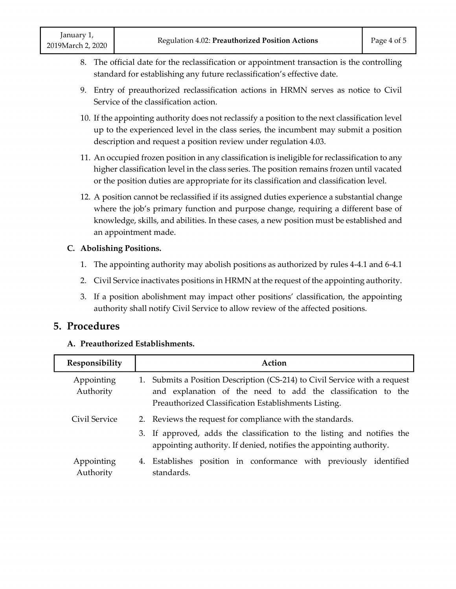- 8. The official date for the reclassification or appointment transaction is the controlling standard for establishing any future reclassification's effective date.
- 9. Entry of preauthorized reclassification actions in HRMN serves as notice to Civil Service of the classification action.
- 10. If the appointing authority does not reclassify a position to the next classification level up to the experienced level in the class series, the incumbent may submit a position description and request a position review under regulation 4.03.
- 11. An occupied frozen position in any classification is ineligible for reclassification to any higher classification level in the class series. The position remains frozen until vacated or the position duties are appropriate for its classification and classification level.
- 12. A position cannot be reclassified if its assigned duties experience a substantial change where the job's primary function and purpose change, requiring a different base of knowledge, skills, and abilities. In these cases, a new position must be established and an appointment made.

#### **C. Abolishing Positions.**

- 1. The appointing authority may abolish positions as authorized by rules 4-4.1 and 6-4.1
- 2. Civil Service inactivates positions in HRMN at the request of the appointing authority.
- 3. If a position abolishment may impact other positions' classification, the appointing authority shall notify Civil Service to allow review of the affected positions.

#### **5. Procedures**

#### **A. Preauthorized Establishments.**

| Responsibility          | Action                                                                                                                                                                                             |
|-------------------------|----------------------------------------------------------------------------------------------------------------------------------------------------------------------------------------------------|
| Appointing<br>Authority | 1. Submits a Position Description (CS-214) to Civil Service with a request<br>and explanation of the need to add the classification to the<br>Preauthorized Classification Establishments Listing. |
| Civil Service           | 2. Reviews the request for compliance with the standards.                                                                                                                                          |
|                         | 3. If approved, adds the classification to the listing and notifies the<br>appointing authority. If denied, notifies the appointing authority.                                                     |
| Appointing<br>Authority | 4. Establishes position in conformance with previously identified<br>standards.                                                                                                                    |